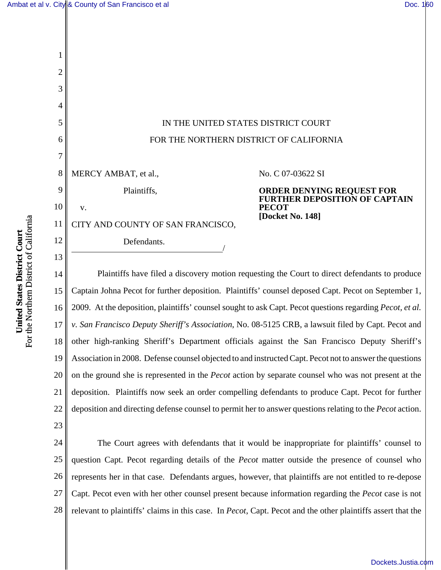1



15 16 17 18 19 20 21 22 Captain Johna Pecot for further deposition. Plaintiffs' counsel deposed Capt. Pecot on September 1, 2009. At the deposition, plaintiffs' counsel sought to ask Capt. Pecot questions regarding *Pecot, et al. v. San Francisco Deputy Sheriff's Association*, No. 08-5125 CRB, a lawsuit filed by Capt. Pecot and other high-ranking Sheriff's Department officials against the San Francisco Deputy Sheriff's Association in 2008. Defense counsel objected to and instructed Capt. Pecot not to answer the questions on the ground she is represented in the *Pecot* action by separate counsel who was not present at the deposition. Plaintiffs now seek an order compelling defendants to produce Capt. Pecot for further deposition and directing defense counsel to permit her to answer questions relating to the *Pecot* action.

24 25 26 27 28 The Court agrees with defendants that it would be inappropriate for plaintiffs' counsel to question Capt. Pecot regarding details of the *Pecot* matter outside the presence of counsel who represents her in that case. Defendants argues, however, that plaintiffs are not entitled to re-depose Capt. Pecot even with her other counsel present because information regarding the *Pecot* case is not relevant to plaintiffs' claims in this case. In *Pecot*, Capt. Pecot and the other plaintiffs assert that the

23